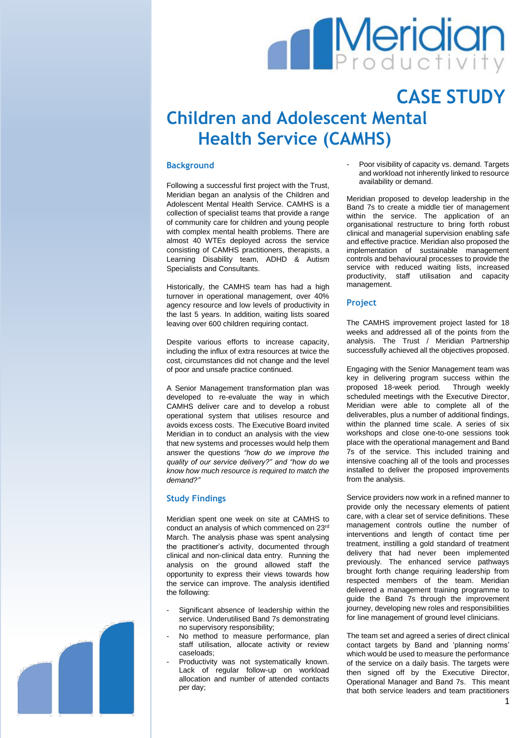# **Meridian**

## **CASE STUDY Children and Adolescent Mental Health Service (CAMHS)**

### **Background**

Following a successful first project with the Trust, Meridian began an analysis of the Children and Adolescent Mental Health Service. CAMHS is a collection of specialist teams that provide a range of community care for children and young people with complex mental health problems. There are almost 40 WTEs deployed across the service consisting of CAMHS practitioners, therapists, a Learning Disability team, ADHD & Autism Specialists and Consultants.

Historically, the CAMHS team has had a high turnover in operational management, over 40% agency resource and low levels of productivity in the last 5 years. In addition, waiting lists soared leaving over 600 children requiring contact.

Despite various efforts to increase capacity, including the influx of extra resources at twice the cost, circumstances did not change and the level of poor and unsafe practice continued.

A Senior Management transformation plan was developed to re-evaluate the way in which CAMHS deliver care and to develop a robust operational system that utilises resource and avoids excess costs. The Executive Board invited Meridian in to conduct an analysis with the view that new systems and processes would help them answer the questions *"how do we improve the quality of our service delivery?" and "how do we know how much resource is required to match the demand?"*

#### **Study Findings**

Meridian spent one week on site at CAMHS to conduct an analysis of which commenced on 23rd March. The analysis phase was spent analysing the practitioner's activity, documented through clinical and non-clinical data entry. Running the analysis on the ground allowed staff the opportunity to express their views towards how the service can improve. The analysis identified the following:

- Significant absence of leadership within the service. Underutilised Band 7s demonstrating no supervisory responsibility;
- No method to measure performance, plan staff utilisation, allocate activity or review caseloads;
- Productivity was not systematically known. Lack of regular follow-up on workload allocation and number of attended contacts per day;

Poor visibility of capacity vs. demand. Targets and workload not inherently linked to resource availability or demand.

Meridian proposed to develop leadership in the Band 7s to create a middle tier of management within the service. The application of an organisational restructure to bring forth robust clinical and managerial supervision enabling safe and effective practice. Meridian also proposed the implementation of sustainable management controls and behavioural processes to provide the service with reduced waiting lists, increased productivity, staff utilisation and capacity management.

#### **Project**

The CAMHS improvement project lasted for 18 weeks and addressed all of the points from the analysis. The Trust / Meridian Partnership successfully achieved all the objectives proposed.

Engaging with the Senior Management team was key in delivering program success within the proposed 18-week period. Through weekly scheduled meetings with the Executive Director, Meridian were able to complete all of the deliverables, plus a number of additional findings, within the planned time scale. A series of six workshops and close one-to-one sessions took place with the operational management and Band 7s of the service. This included training and intensive coaching all of the tools and processes installed to deliver the proposed improvements from the analysis.

Service providers now work in a refined manner to provide only the necessary elements of patient care, with a clear set of service definitions. These management controls outline the number of interventions and length of contact time per treatment, instilling a gold standard of treatment delivery that had never been implemented previously. The enhanced service pathways brought forth change requiring leadership from respected members of the team. Meridian delivered a management training programme to guide the Band 7s through the improvement journey, developing new roles and responsibilities for line management of ground level clinicians.

The team set and agreed a series of direct clinical contact targets by Band and 'planning norms' which would be used to measure the performance of the service on a daily basis. The targets were then signed off by the Executive Director, Operational Manager and Band 7s. This meant that both service leaders and team practitioners